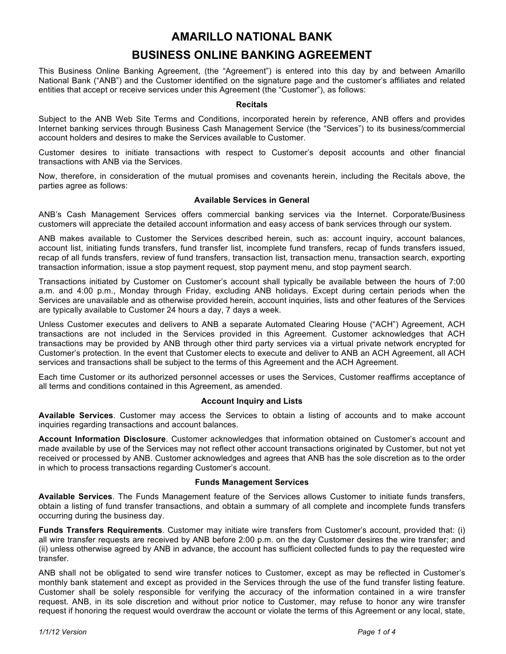## **AMARILLO NATIONAL BANK**

# **BUSINESS ONLINE BANKING AGREEMENT**

This Business Online Banking Agreement, (the "Agreement") is entered into this day by and between Amarillo National Bank ("ANB") and the Customer identified on the signature page and the customer's affiliates and related entities that accept or receive services under this Agreement (the "Customer"), as follows:

#### **Recitals**

Subject to the ANB Web Site Terms and Conditions, incorporated herein by reference, ANB offers and provides Internet banking services through Business Cash Management Service (the "Services") to its business/commercial account holders and desires to make the Services available to Customer.

Customer desires to initiate transactions with respect to Customer's deposit accounts and other financial transactions with ANB via the Services.

Now, therefore, in consideration of the mutual promises and covenants herein, including the Recitals above, the parties agree as follows:

#### **Available Services in General**

ANB's Cash Management Services offers commercial banking services via the Internet. Corporate/Business customers will appreciate the detailed account information and easy access of bank services through our system.

ANB makes available to Customer the Services described herein, such as: account inquiry, account balances, account list, initiating funds transfers, fund transfer list, incomplete fund transfers, recap of funds transfers issued, recap of all funds transfers, review of fund transfers, transaction list, transaction menu, transaction search, exporting transaction information, issue a stop payment request, stop payment menu, and stop payment search.

Transactions initiated by Customer on Customer's account shall typically be available between the hours of 7:00 a.m. and 4:00 p.m., Monday through Friday, excluding ANB holidays. Except during certain periods when the Services are unavailable and as otherwise provided herein, account inquiries, lists and other features of the Services are typically available to Customer 24 hours a day, 7 days a week.

Unless Customer executes and delivers to ANB a separate Automated Clearing House ("ACH") Agreement, ACH transactions are not included in the Services provided in this Agreement. Customer acknowledges that ACH transactions may be provided by ANB through other third party services via a virtual private network encrypted for Customer's protection. In the event that Customer elects to execute and deliver to ANB an ACH Agreement, all ACH services and transactions shall be subject to the terms of this Agreement and the ACH Agreement.

Each time Customer or its authorized personnel accesses or uses the Services, Customer reaffirms acceptance of all terms and conditions contained in this Agreement, as amended.

#### **Account Inquiry and Lists**

**Available Services**. Customer may access the Services to obtain a listing of accounts and to make account inquiries regarding transactions and account balances.

**Account Information Disclosure**. Customer acknowledges that information obtained on Customer's account and made available by use of the Services may not reflect other account transactions originated by Customer, but not yet received or processed by ANB. Customer acknowledges and agrees that ANB has the sole discretion as to the order in which to process transactions regarding Customer's account.

#### **Funds Management Services**

**Available Services**. The Funds Management feature of the Services allows Customer to initiate funds transfers, obtain a listing of fund transfer transactions, and obtain a summary of all complete and incomplete funds transfers occurring during the business day.

**Funds Transfers Requirements**. Customer may initiate wire transfers from Customer's account, provided that: (i) all wire transfer requests are received by ANB before 2:00 p.m. on the day Customer desires the wire transfer; and (ii) unless otherwise agreed by ANB in advance, the account has sufficient collected funds to pay the requested wire transfer.

ANB shall not be obligated to send wire transfer notices to Customer, except as may be reflected in Customer's monthly bank statement and except as provided in the Services through the use of the fund transfer listing feature. Customer shall be solely responsible for verifying the accuracy of the information contained in a wire transfer request. ANB, in its sole discretion and without prior notice to Customer, may refuse to honor any wire transfer request if honoring the request would overdraw the account or violate the terms of this Agreement or any local, state,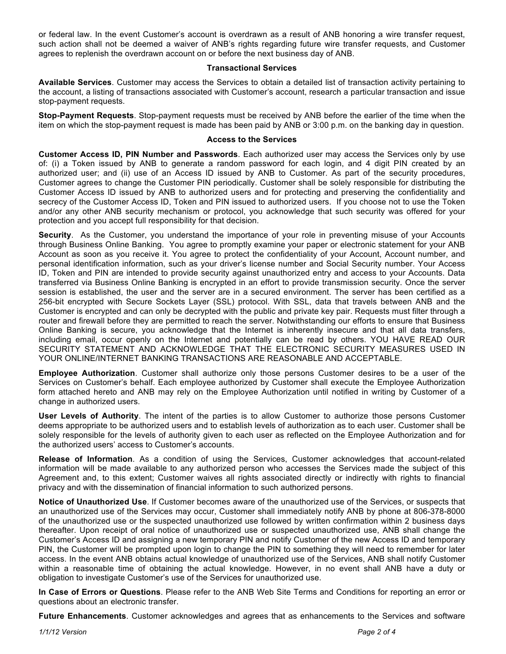or federal law. In the event Customer's account is overdrawn as a result of ANB honoring a wire transfer request, such action shall not be deemed a waiver of ANB's rights regarding future wire transfer requests, and Customer agrees to replenish the overdrawn account on or before the next business day of ANB.

#### **Transactional Services**

**Available Services**. Customer may access the Services to obtain a detailed list of transaction activity pertaining to the account, a listing of transactions associated with Customer's account, research a particular transaction and issue stop-payment requests.

**Stop-Payment Requests**. Stop-payment requests must be received by ANB before the earlier of the time when the item on which the stop-payment request is made has been paid by ANB or 3:00 p.m. on the banking day in question.

#### **Access to the Services**

**Customer Access ID, PIN Number and Passwords**. Each authorized user may access the Services only by use of: (i) a Token issued by ANB to generate a random password for each login, and 4 digit PIN created by an authorized user; and (ii) use of an Access ID issued by ANB to Customer. As part of the security procedures, Customer agrees to change the Customer PIN periodically. Customer shall be solely responsible for distributing the Customer Access ID issued by ANB to authorized users and for protecting and preserving the confidentiality and secrecy of the Customer Access ID, Token and PIN issued to authorized users. If you choose not to use the Token and/or any other ANB security mechanism or protocol, you acknowledge that such security was offered for your protection and you accept full responsibility for that decision.

**Security**. As the Customer, you understand the importance of your role in preventing misuse of your Accounts through Business Online Banking. You agree to promptly examine your paper or electronic statement for your ANB Account as soon as you receive it. You agree to protect the confidentiality of your Account, Account number, and personal identification information, such as your driver's license number and Social Security number. Your Access ID, Token and PIN are intended to provide security against unauthorized entry and access to your Accounts. Data transferred via Business Online Banking is encrypted in an effort to provide transmission security. Once the server session is established, the user and the server are in a secured environment. The server has been certified as a 256-bit encrypted with Secure Sockets Layer (SSL) protocol. With SSL, data that travels between ANB and the Customer is encrypted and can only be decrypted with the public and private key pair. Requests must filter through a router and firewall before they are permitted to reach the server. Notwithstanding our efforts to ensure that Business Online Banking is secure, you acknowledge that the Internet is inherently insecure and that all data transfers, including email, occur openly on the Internet and potentially can be read by others. YOU HAVE READ OUR SECURITY STATEMENT AND ACKNOWLEDGE THAT THE ELECTRONIC SECURITY MEASURES USED IN YOUR ONLINE/INTERNET BANKING TRANSACTIONS ARE REASONABLE AND ACCEPTABLE.

**Employee Authorization**. Customer shall authorize only those persons Customer desires to be a user of the Services on Customer's behalf. Each employee authorized by Customer shall execute the Employee Authorization form attached hereto and ANB may rely on the Employee Authorization until notified in writing by Customer of a change in authorized users.

**User Levels of Authority**. The intent of the parties is to allow Customer to authorize those persons Customer deems appropriate to be authorized users and to establish levels of authorization as to each user. Customer shall be solely responsible for the levels of authority given to each user as reflected on the Employee Authorization and for the authorized users' access to Customer's accounts.

**Release of Information**. As a condition of using the Services, Customer acknowledges that account-related information will be made available to any authorized person who accesses the Services made the subject of this Agreement and, to this extent; Customer waives all rights associated directly or indirectly with rights to financial privacy and with the dissemination of financial information to such authorized persons.

**Notice of Unauthorized Use**. If Customer becomes aware of the unauthorized use of the Services, or suspects that an unauthorized use of the Services may occur, Customer shall immediately notify ANB by phone at 806-378-8000 of the unauthorized use or the suspected unauthorized use followed by written confirmation within 2 business days thereafter. Upon receipt of oral notice of unauthorized use or suspected unauthorized use, ANB shall change the Customer's Access ID and assigning a new temporary PIN and notify Customer of the new Access ID and temporary PIN, the Customer will be prompted upon login to change the PIN to something they will need to remember for later access. In the event ANB obtains actual knowledge of unauthorized use of the Services, ANB shall notify Customer within a reasonable time of obtaining the actual knowledge. However, in no event shall ANB have a duty or obligation to investigate Customer's use of the Services for unauthorized use.

**In Case of Errors or Questions**. Please refer to the ANB Web Site Terms and Conditions for reporting an error or questions about an electronic transfer.

**Future Enhancements**. Customer acknowledges and agrees that as enhancements to the Services and software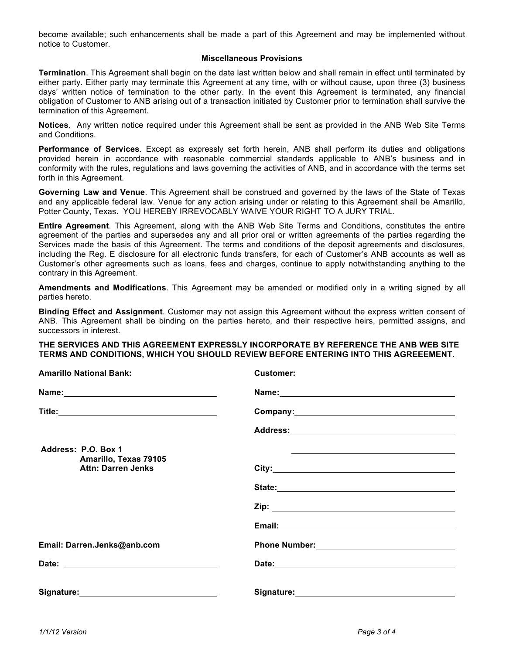become available; such enhancements shall be made a part of this Agreement and may be implemented without notice to Customer.

#### **Miscellaneous Provisions**

**Termination**. This Agreement shall begin on the date last written below and shall remain in effect until terminated by either party. Either party may terminate this Agreement at any time, with or without cause, upon three (3) business days' written notice of termination to the other party. In the event this Agreement is terminated, any financial obligation of Customer to ANB arising out of a transaction initiated by Customer prior to termination shall survive the termination of this Agreement.

**Notices**. Any written notice required under this Agreement shall be sent as provided in the ANB Web Site Terms and Conditions.

**Performance of Services**. Except as expressly set forth herein, ANB shall perform its duties and obligations provided herein in accordance with reasonable commercial standards applicable to ANB's business and in conformity with the rules, regulations and laws governing the activities of ANB, and in accordance with the terms set forth in this Agreement.

**Governing Law and Venue**. This Agreement shall be construed and governed by the laws of the State of Texas and any applicable federal law. Venue for any action arising under or relating to this Agreement shall be Amarillo, Potter County, Texas. YOU HEREBY IRREVOCABLY WAIVE YOUR RIGHT TO A JURY TRIAL.

**Entire Agreement**. This Agreement, along with the ANB Web Site Terms and Conditions, constitutes the entire agreement of the parties and supersedes any and all prior oral or written agreements of the parties regarding the Services made the basis of this Agreement. The terms and conditions of the deposit agreements and disclosures, including the Reg. E disclosure for all electronic funds transfers, for each of Customer's ANB accounts as well as Customer's other agreements such as loans, fees and charges, continue to apply notwithstanding anything to the contrary in this Agreement.

**Amendments and Modifications**. This Agreement may be amended or modified only in a writing signed by all parties hereto.

**Binding Effect and Assignment**. Customer may not assign this Agreement without the express written consent of ANB. This Agreement shall be binding on the parties hereto, and their respective heirs, permitted assigns, and successors in interest.

#### **THE SERVICES AND THIS AGREEMENT EXPRESSLY INCORPORATE BY REFERENCE THE ANB WEB SITE TERMS AND CONDITIONS, WHICH YOU SHOULD REVIEW BEFORE ENTERING INTO THIS AGREEEMENT.**

**Amarillo National Bank: Customer:** 

| AMAMO NAUVIAI DAM.                                 | ustomer.                                                                                                                                                                                                                             |
|----------------------------------------------------|--------------------------------------------------------------------------------------------------------------------------------------------------------------------------------------------------------------------------------------|
|                                                    | Name: Name:                                                                                                                                                                                                                          |
|                                                    |                                                                                                                                                                                                                                      |
|                                                    | Address: <u>with a series of the series of the series of the series of the series of the series of the series of the series of the series of the series of the series of the series of the series of the series of the series of</u> |
| Address: P.O. Box 1                                | <u> 1988 - Johann Barbara, marka a shekara ta 1989 - Anna a tsarann an tsarann an tsarann an tsarann an tsarann a</u>                                                                                                                |
| Amarillo, Texas 79105<br><b>Attn: Darren Jenks</b> |                                                                                                                                                                                                                                      |
|                                                    | State: No. 2014 12:00 12:00 12:00 12:00 12:00 12:00 12:00 12:00 12:00 12:00 12:00 12:00 12:00 12:00 12:00 12:0                                                                                                                       |
|                                                    |                                                                                                                                                                                                                                      |
|                                                    |                                                                                                                                                                                                                                      |
| Email: Darren.Jenks@anb.com                        | Phone Number: <u>__________________________________</u>                                                                                                                                                                              |
|                                                    |                                                                                                                                                                                                                                      |
| Signature: __________________________________      |                                                                                                                                                                                                                                      |
|                                                    |                                                                                                                                                                                                                                      |